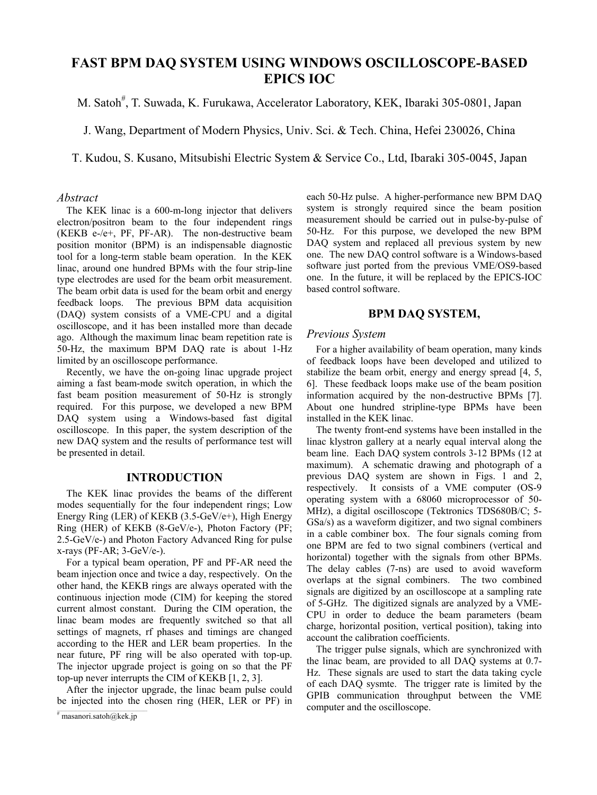# **FAST BPM DAQ SYSTEM USING WINDOWS OSCILLOSCOPE-BASED EPICS IOC**

M. Satoh<sup>#</sup>, T. Suwada, K. Furukawa, Accelerator Laboratory, KEK, Ibaraki 305-0801, Japan

J. Wang, Department of Modern Physics, Univ. Sci. & Tech. China, Hefei 230026, China

T. Kudou, S. Kusano, Mitsubishi Electric System & Service Co., Ltd, Ibaraki 305-0045, Japan

#### *Abstract*

The KEK linac is a 600-m-long injector that delivers electron/positron beam to the four independent rings (KEKB e-/e+, PF, PF-AR). The non-destructive beam position monitor (BPM) is an indispensable diagnostic tool for a long-term stable beam operation. In the KEK linac, around one hundred BPMs with the four strip-line type electrodes are used for the beam orbit measurement. The beam orbit data is used for the beam orbit and energy feedback loops. The previous BPM data acquisition (DAQ) system consists of a VME-CPU and a digital oscilloscope, and it has been installed more than decade ago. Although the maximum linac beam repetition rate is 50-Hz, the maximum BPM DAQ rate is about 1-Hz limited by an oscilloscope performance.

Recently, we have the on-going linac upgrade project aiming a fast beam-mode switch operation, in which the fast beam position measurement of 50-Hz is strongly required. For this purpose, we developed a new BPM DAQ system using a Windows-based fast digital oscilloscope. In this paper, the system description of the new DAQ system and the results of performance test will be presented in detail.

# **INTRODUCTION**

The KEK linac provides the beams of the different modes sequentially for the four independent rings; Low Energy Ring (LER) of KEKB (3.5-GeV/e+), High Energy Ring (HER) of KEKB (8-GeV/e-), Photon Factory (PF; 2.5-GeV/e-) and Photon Factory Advanced Ring for pulse  $x$ -rays (PF-AR;  $3$ -GeV/e-).

For a typical beam operation, PF and PF-AR need the beam injection once and twice a day, respectively. On the other hand, the KEKB rings are always operated with the continuous injection mode (CIM) for keeping the stored current almost constant. During the CIM operation, the linac beam modes are frequently switched so that all settings of magnets, rf phases and timings are changed according to the HER and LER beam properties. In the near future, PF ring will be also operated with top-up. The injector upgrade project is going on so that the PF top-up never interrupts the CIM of KEKB [1, 2, 3].

After the injector upgrade, the linac beam pulse could be injected into the chosen ring (HER, LER or PF) in each 50-Hz pulse. A higher-performance new BPM DAQ system is strongly required since the beam position measurement should be carried out in pulse-by-pulse of 50-Hz. For this purpose, we developed the new BPM DAQ system and replaced all previous system by new one. The new DAQ control software is a Windows-based software just ported from the previous VME/OS9-based one. In the future, it will be replaced by the EPICS-IOC based control software.

# **BPM DAQ SYSTEM,**

#### *Previous System*

For a higher availability of beam operation, many kinds of feedback loops have been developed and utilized to stabilize the beam orbit, energy and energy spread [4, 5, 6]. These feedback loops make use of the beam position information acquired by the non-destructive BPMs [7]. About one hundred stripline-type BPMs have been installed in the KEK linac.

The twenty front-end systems have been installed in the linac klystron gallery at a nearly equal interval along the beam line. Each DAQ system controls 3-12 BPMs (12 at maximum). A schematic drawing and photograph of a previous DAQ system are shown in Figs. 1 and 2, respectively. It consists of a VME computer (OS-9 operating system with a 68060 microprocessor of 50- MHz), a digital oscilloscope (Tektronics TDS680B/C; 5- GSa/s) as a waveform digitizer, and two signal combiners in a cable combiner box. The four signals coming from one BPM are fed to two signal combiners (vertical and horizontal) together with the signals from other BPMs. The delay cables (7-ns) are used to avoid waveform overlaps at the signal combiners. The two combined signals are digitized by an oscilloscope at a sampling rate of 5-GHz. The digitized signals are analyzed by a VME-CPU in order to deduce the beam parameters (beam charge, horizontal position, vertical position), taking into account the calibration coefficients.

The trigger pulse signals, which are synchronized with the linac beam, are provided to all DAQ systems at 0.7- Hz. These signals are used to start the data taking cycle of each DAQ sysmte. The trigger rate is limited by the GPIB communication throughput between the VME computer and the oscilloscope.

 $\frac{\pi}{\pi}$  masanori.satoh@kek.jp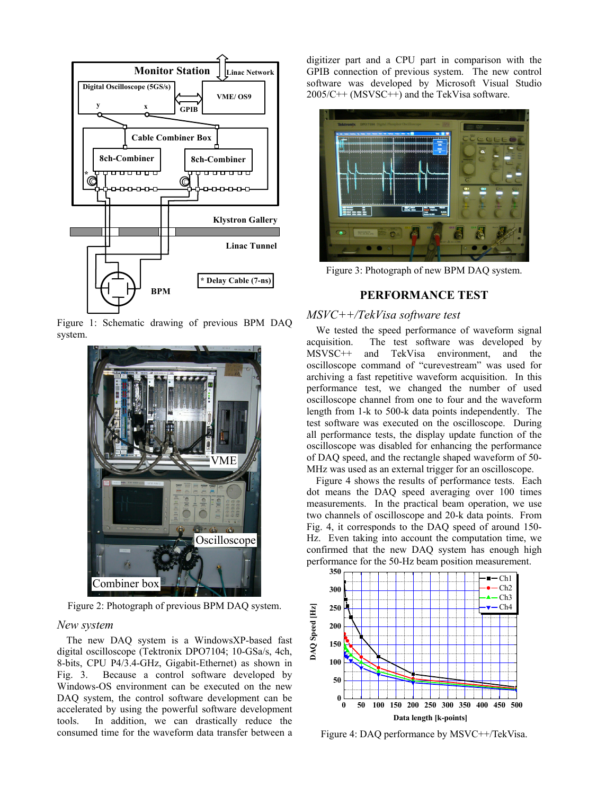

Figure 1: Schematic drawing of previous BPM DAQ system.



Figure 2: Photograph of previous BPM DAQ system.

#### *New system*

The new DAQ system is a WindowsXP-based fast digital oscilloscope (Tektronix DPO7104; 10-GSa/s, 4ch, 8-bits, CPU P4/3.4-GHz, Gigabit-Ethernet) as shown in Fig. 3. Because a control software developed by Windows-OS environment can be executed on the new DAQ system, the control software development can be accelerated by using the powerful software development tools. In addition, we can drastically reduce the consumed time for the waveform data transfer between a

digitizer part and a CPU part in comparison with the GPIB connection of previous system. The new control software was developed by Microsoft Visual Studio 2005/C++ (MSVSC++) and the TekVisa software.



Figure 3: Photograph of new BPM DAQ system.

# **PERFORMANCE TEST**

# *MSVC++/TekVisa software test*

We tested the speed performance of waveform signal acquisition. The test software was developed by MSVSC++ and TekVisa environment, and the oscilloscope command of "curevestream" was used for archiving a fast repetitive waveform acquisition. In this performance test, we changed the number of used oscilloscope channel from one to four and the waveform length from 1-k to 500-k data points independently. The test software was executed on the oscilloscope. During all performance tests, the display update function of the oscilloscope was disabled for enhancing the performance of DAQ speed, and the rectangle shaped waveform of 50- MHz was used as an external trigger for an oscilloscope.

Figure 4 shows the results of performance tests. Each dot means the DAQ speed averaging over 100 times measurements. In the practical beam operation, we use two channels of oscilloscope and 20-k data points. From Fig. 4, it corresponds to the DAQ speed of around 150- Hz. Even taking into account the computation time, we confirmed that the new DAQ system has enough high performance for the 50-Hz beam position measurement.



Figure 4: DAQ performance by MSVC++/TekVisa.